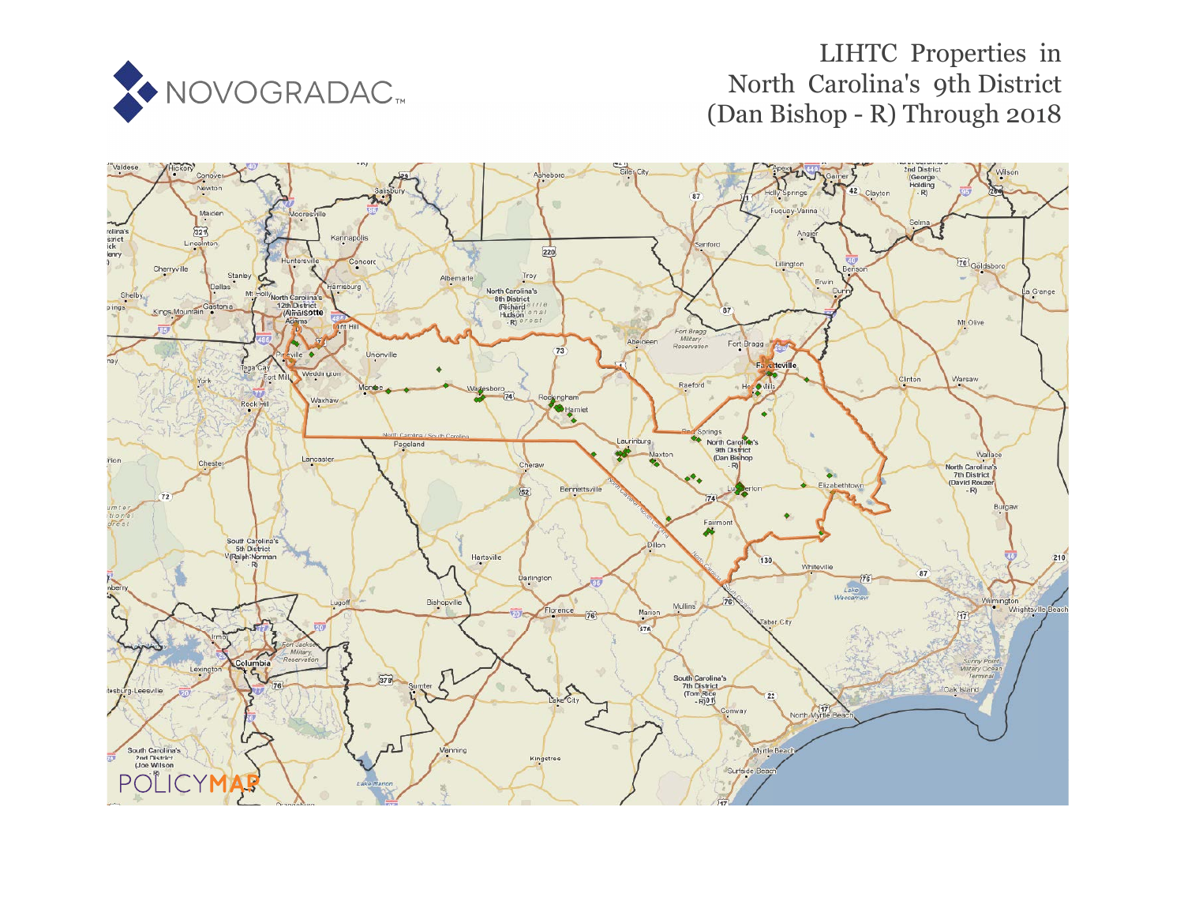

# LIHTC Properties in North Carolina's 9th District (Dan Bishop - R) Through 2018

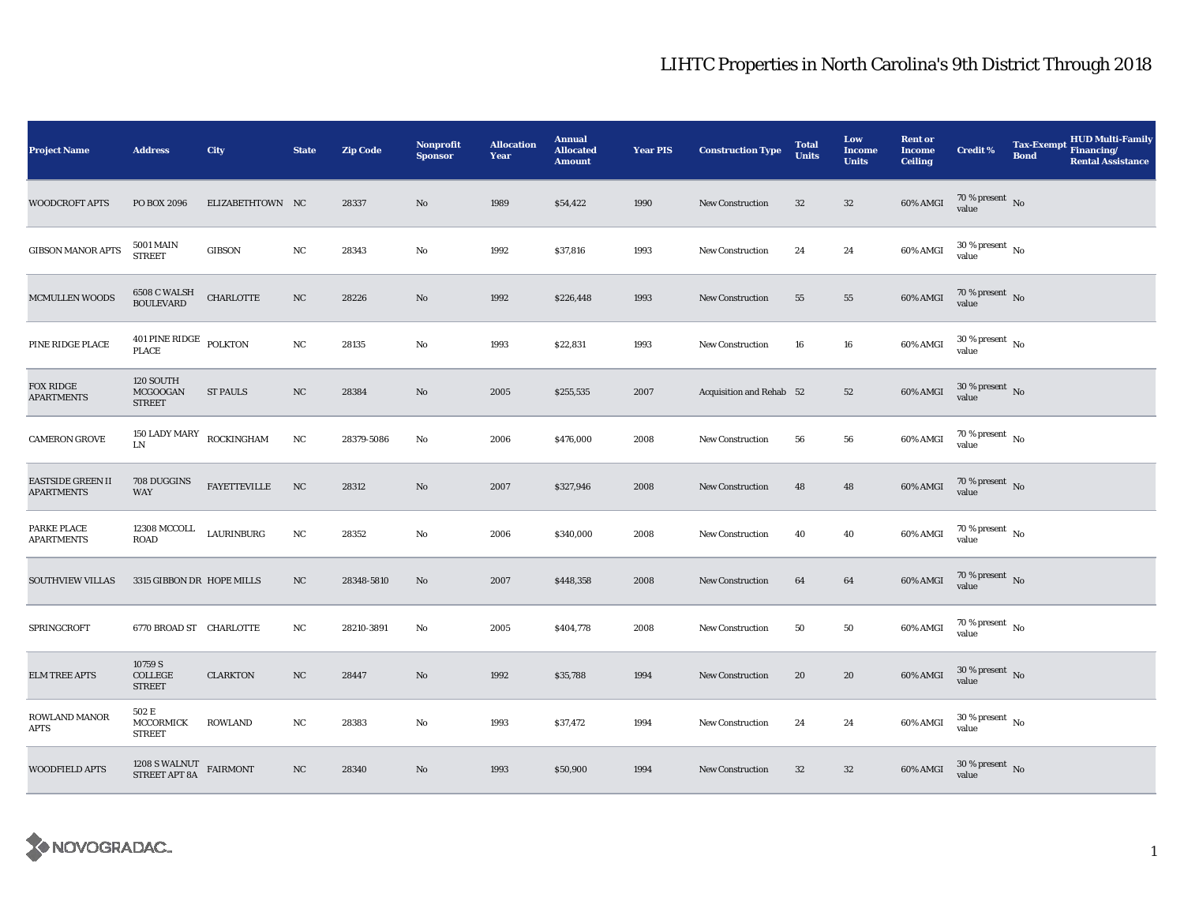| <b>Project Name</b>                    | <b>Address</b>                                 | City                | <b>State</b> | <b>Zip Code</b> | Nonprofit<br><b>Sponsor</b> | <b>Allocation</b><br>Year | <b>Annual</b><br><b>Allocated</b><br><b>Amount</b> | <b>Year PIS</b> | <b>Construction Type</b> | <b>Total</b><br><b>Units</b> | Low<br><b>Income</b><br><b>Units</b> | <b>Rent or</b><br><b>Income</b><br><b>Ceiling</b> | <b>Credit %</b>                          | <b>Tax-Exempt</b><br><b>Bond</b> | HUD Multi-Family<br>Financing/<br><b>Rental Assistance</b> |
|----------------------------------------|------------------------------------------------|---------------------|--------------|-----------------|-----------------------------|---------------------------|----------------------------------------------------|-----------------|--------------------------|------------------------------|--------------------------------------|---------------------------------------------------|------------------------------------------|----------------------------------|------------------------------------------------------------|
| <b>WOODCROFT APTS</b>                  | PO BOX 2096                                    | ELIZABETHTOWN NC    |              | 28337           | No                          | 1989                      | \$54,422                                           | 1990            | <b>New Construction</b>  | 32                           | $32\,$                               | 60% AMGI                                          | 70 % present $\,$ No $\,$<br>value       |                                  |                                                            |
| <b>GIBSON MANOR APTS</b>               | <b>5001 MAIN</b><br><b>STREET</b>              | <b>GIBSON</b>       | $_{\rm NC}$  | 28343           | No                          | 1992                      | \$37,816                                           | 1993            | <b>New Construction</b>  | 24                           | 24                                   | 60% AMGI                                          | $30\,\%$ present $\,$ No value           |                                  |                                                            |
| <b>MCMULLEN WOODS</b>                  | <b>6508 C WALSH BOULEVARD</b>                  | <b>CHARLOTTE</b>    | $_{\rm NC}$  | 28226           | No                          | 1992                      | \$226,448                                          | 1993            | <b>New Construction</b>  | 55                           | 55                                   | 60% AMGI                                          | $70\,\%$ present $\,$ No value           |                                  |                                                            |
| PINE RIDGE PLACE                       | $401$ PINE RIDGE $\,$ POLKTON PLACE            |                     | NC           | 28135           | No                          | 1993                      | \$22,831                                           | 1993            | <b>New Construction</b>  | 16                           | 16                                   | 60% AMGI                                          | $30$ % present $\,$ No $\,$<br>value     |                                  |                                                            |
| <b>FOX RIDGE</b><br><b>APARTMENTS</b>  | 120 SOUTH<br>MCGOOGAN<br><b>STREET</b>         | <b>ST PAULS</b>     | $_{\rm NC}$  | 28384           | No                          | 2005                      | \$255,535                                          | 2007            | Acquisition and Rehab 52 |                              | 52                                   | 60% AMGI                                          | $30$ % present $\,$ No value             |                                  |                                                            |
| <b>CAMERON GROVE</b>                   | 150 LADY MARY<br>${\rm LN}$                    | ROCKINGHAM          | $_{\rm NC}$  | 28379-5086      | $\rm No$                    | 2006                      | \$476,000                                          | 2008            | New Construction         | 56                           | 56                                   | 60% AMGI                                          | $70$ % present $\,$ No $\,$<br>value     |                                  |                                                            |
| EASTSIDE GREEN II<br><b>APARTMENTS</b> | 708 DUGGINS<br><b>WAY</b>                      | <b>FAYETTEVILLE</b> | NC           | 28312           | No                          | 2007                      | \$327,946                                          | 2008            | <b>New Construction</b>  | 48                           | 48                                   | 60% AMGI                                          | $70\,\%$ present $\,$ No value           |                                  |                                                            |
| PARKE PLACE<br><b>APARTMENTS</b>       | <b>12308 MCCOLL</b><br>ROAD                    | LAURINBURG          | $_{\rm NC}$  | 28352           | No                          | 2006                      | \$340,000                                          | 2008            | <b>New Construction</b>  | 40                           | 40                                   | 60% AMGI                                          | $70\,\%$ present $\,$ No value           |                                  |                                                            |
| <b>SOUTHVIEW VILLAS</b>                | 3315 GIBBON DR HOPE MILLS                      |                     | NC           | 28348-5810      | $\mathbf{N}\mathbf{o}$      | 2007                      | \$448,358                                          | 2008            | New Construction         | 64                           | 64                                   | 60% AMGI                                          | $70\,\%$ present $_{\, \rm No}$<br>value |                                  |                                                            |
| SPRINGCROFT                            | 6770 BROAD ST CHARLOTTE                        |                     | NC           | 28210-3891      | No                          | 2005                      | \$404,778                                          | 2008            | <b>New Construction</b>  | 50                           | 50                                   | 60% AMGI                                          | 70 % present $\hbox{~No}$<br>value       |                                  |                                                            |
| <b>ELM TREE APTS</b>                   | 10759 S<br>COLLEGE<br><b>STREET</b>            | <b>CLARKTON</b>     | $_{\rm NC}$  | 28447           | $\mathbf{N}\mathbf{o}$      | 1992                      | \$35,788                                           | 1994            | New Construction         | 20                           | 20                                   | 60% AMGI                                          | $30\,\%$ present $\,$ No $\,$<br>value   |                                  |                                                            |
| ROWLAND MANOR<br>APTS                  | 502 E<br><b>MCCORMICK</b><br><b>STREET</b>     | <b>ROWLAND</b>      | $_{\rm NC}$  | 28383           | No                          | 1993                      | \$37,472                                           | 1994            | <b>New Construction</b>  | 24                           | 24                                   | 60% AMGI                                          | $30$ % present $\,$ No $\,$<br>value     |                                  |                                                            |
| <b>WOODFIELD APTS</b>                  | $1208$ S WALNUT $$\tt FAIRMONT$$ STREET APT 8A |                     | $_{\rm NC}$  | 28340           | No                          | 1993                      | \$50,900                                           | 1994            | <b>New Construction</b>  | $32\,$                       | $32\,$                               | 60% AMGI                                          | $30\,\%$ present $\,$ No value           |                                  |                                                            |

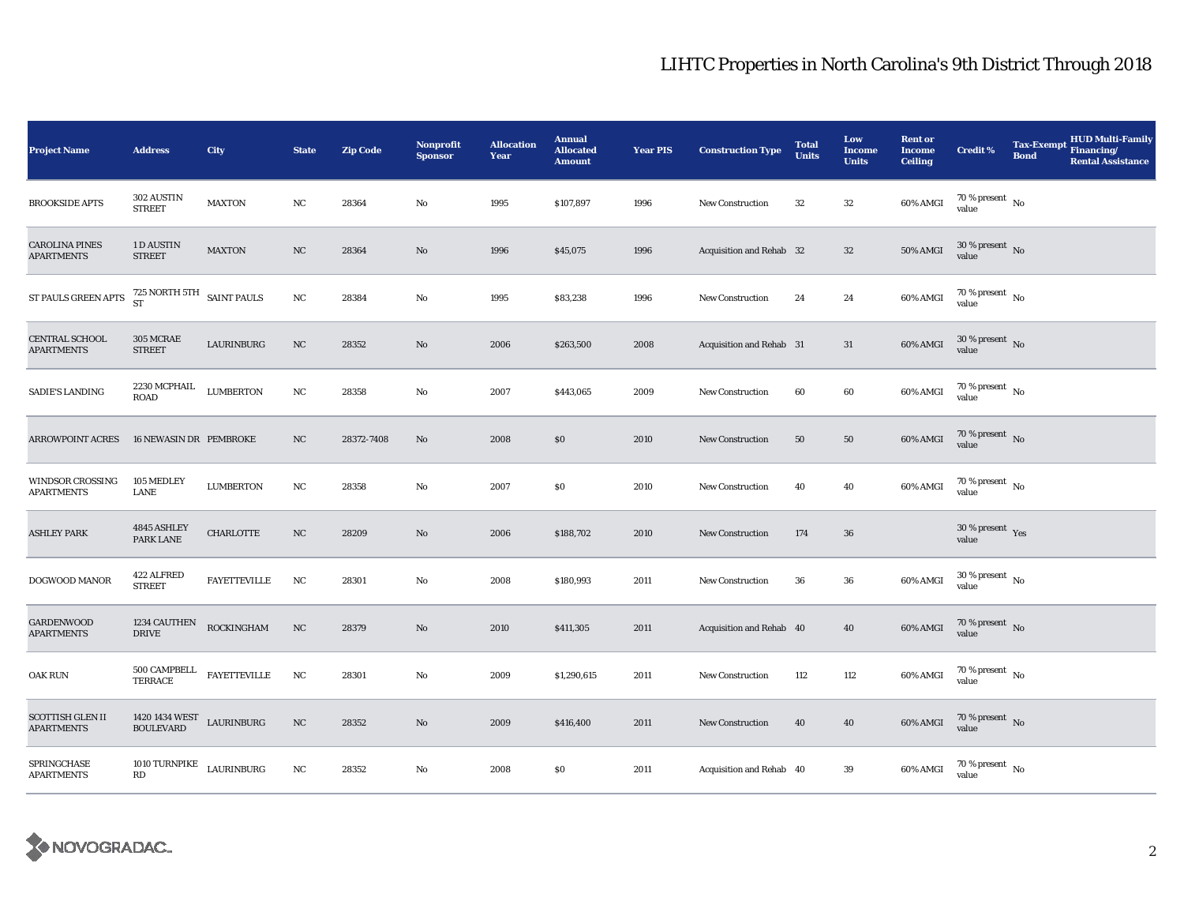| <b>Project Name</b>                          | <b>Address</b>                                                                                       | City                | <b>State</b> | <b>Zip Code</b> | <b>Nonprofit</b><br><b>Sponsor</b> | <b>Allocation</b><br>Year | <b>Annual</b><br><b>Allocated</b><br><b>Amount</b> | <b>Year PIS</b> | <b>Construction Type</b> | <b>Total</b><br><b>Units</b> | Low<br><b>Income</b><br><b>Units</b> | <b>Rent or</b><br><b>Income</b><br><b>Ceiling</b> | Credit %                        | <b>HUD Multi-Family</b><br>Tax-Exempt Financing/<br><b>Bond</b><br><b>Rental Assistance</b> |
|----------------------------------------------|------------------------------------------------------------------------------------------------------|---------------------|--------------|-----------------|------------------------------------|---------------------------|----------------------------------------------------|-----------------|--------------------------|------------------------------|--------------------------------------|---------------------------------------------------|---------------------------------|---------------------------------------------------------------------------------------------|
| <b>BROOKSIDE APTS</b>                        | 302 AUSTIN<br><b>STREET</b>                                                                          | <b>MAXTON</b>       | NC           | 28364           | No                                 | 1995                      | \$107,897                                          | 1996            | <b>New Construction</b>  | 32                           | $32\,$                               | 60% AMGI                                          | $70\,\%$ present $\,$ No value  |                                                                                             |
| <b>CAROLINA PINES</b><br><b>APARTMENTS</b>   | 1 D AUSTIN<br><b>STREET</b>                                                                          | <b>MAXTON</b>       | NC           | 28364           | No                                 | 1996                      | \$45,075                                           | 1996            | Acquisition and Rehab 32 |                              | $32\,$                               | $50\%$ AMGI                                       | 30 % present No<br>value        |                                                                                             |
| ST PAULS GREEN APTS                          | $725$ NORTH $5\mathrm{TH}$ $\;$ SAINT PAULS $\mathrm{ST}$                                            |                     | NC           | 28384           | No                                 | 1995                      | \$83,238                                           | 1996            | New Construction         | 24                           | 24                                   | 60% AMGI                                          | $70\,\%$ present $\,$ No value  |                                                                                             |
| CENTRAL SCHOOL<br><b>APARTMENTS</b>          | 305 MCRAE<br><b>STREET</b>                                                                           | LAURINBURG          | NC           | 28352           | No                                 | 2006                      | \$263,500                                          | 2008            | Acquisition and Rehab 31 |                              | 31                                   | 60% AMGI                                          | $30\,\%$ present $\,$ No value  |                                                                                             |
| SADIE'S LANDING                              | 2230 MCPHAIL<br><b>ROAD</b>                                                                          | <b>LUMBERTON</b>    | NC           | 28358           | No                                 | 2007                      | \$443,065                                          | 2009            | <b>New Construction</b>  | 60                           | 60                                   | 60% AMGI                                          | $70\,\%$ present $\,$ No value  |                                                                                             |
| <b>ARROWPOINT ACRES</b>                      | 16 NEWASIN DR PEMBROKE                                                                               |                     | $_{\rm NC}$  | 28372-7408      | No                                 | 2008                      | $\$0$                                              | 2010            | <b>New Construction</b>  | $50\,$                       | ${\bf 50}$                           | 60% AMGI                                          | $70\,\%$ present $\,$ No value  |                                                                                             |
| WINDSOR CROSSING<br><b>APARTMENTS</b>        | 105 MEDLEY<br>LANE                                                                                   | <b>LUMBERTON</b>    | NC           | 28358           | No                                 | 2007                      | \$0                                                | 2010            | <b>New Construction</b>  | 40                           | 40                                   | 60% AMGI                                          | $70\,\%$ present $\,$ No value  |                                                                                             |
| <b>ASHLEY PARK</b>                           | 4845 ASHLEY<br>PARK LANE                                                                             | CHARLOTTE           | NC           | 28209           | $\rm No$                           | 2006                      | \$188,702                                          | 2010            | New Construction         | 174                          | 36                                   |                                                   | $30\,\%$ present $\,$ Yes value |                                                                                             |
| DOGWOOD MANOR                                | 422 ALFRED<br><b>STREET</b>                                                                          | <b>FAYETTEVILLE</b> | NC           | 28301           | No                                 | 2008                      | \$180,993                                          | 2011            | New Construction         | 36                           | 36                                   | 60% AMGI                                          | $30\,\%$ present $\,$ No value  |                                                                                             |
| <b>GARDENWOOD</b><br><b>APARTMENTS</b>       | 1234 CAUTHEN<br><b>DRIVE</b>                                                                         | ROCKINGHAM          | $_{\rm NC}$  | 28379           | No                                 | 2010                      | \$411,305                                          | 2011            | Acquisition and Rehab 40 |                              | 40                                   | 60% AMGI                                          | $70\,\%$ present $\,$ No value  |                                                                                             |
| <b>OAK RUN</b>                               | 500 CAMPBELL<br><b>TERRACE</b>                                                                       | <b>FAYETTEVILLE</b> | $_{\rm NC}$  | 28301           | No                                 | 2009                      | \$1,290,615                                        | 2011            | <b>New Construction</b>  | 112                          | 112                                  | 60% AMGI                                          | $70\,\%$ present $\,$ No value  |                                                                                             |
| <b>SCOTTISH GLEN II</b><br><b>APARTMENTS</b> | $\begin{array}{lll} 1420\,1434\,\mathrm{WEST} & \text{LAURINBURG} \\ \text{BOLLEVARD} & \end{array}$ |                     | $_{\rm NC}$  | 28352           | No                                 | 2009                      | \$416,400                                          | 2011            | <b>New Construction</b>  | 40                           | 40                                   | 60% AMGI                                          | $70\,\%$ present $\,$ No value  |                                                                                             |
| SPRINGCHASE<br><b>APARTMENTS</b>             | 1010 TURNPIKE $$\tt LAURINBURG$$<br>RD                                                               |                     | $_{\rm NC}$  | 28352           | $\rm No$                           | 2008                      | \$0\$                                              | 2011            | Acquisition and Rehab 40 |                              | 39                                   | 60% AMGI                                          | $70\,\%$ present $\,$ No value  |                                                                                             |

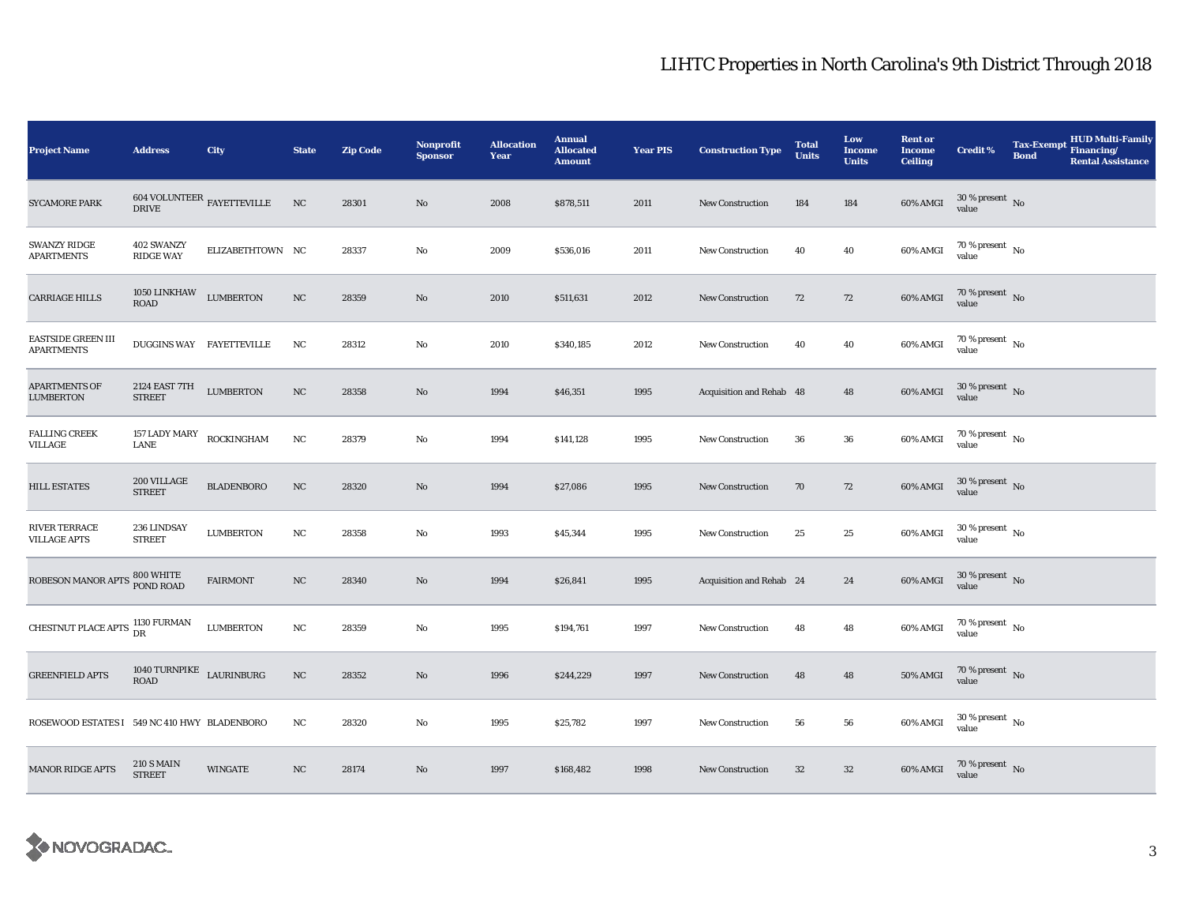| <b>Project Name</b>                            | <b>Address</b>                                      | City              | <b>State</b>     | <b>Zip Code</b> | <b>Nonprofit</b><br><b>Sponsor</b> | <b>Allocation</b><br>Year | <b>Annual</b><br><b>Allocated</b><br><b>Amount</b> | <b>Year PIS</b> | <b>Construction Type</b> | <b>Total</b><br><b>Units</b> | Low<br><b>Income</b><br><b>Units</b> | <b>Rent or</b><br><b>Income</b><br><b>Ceiling</b> | <b>Credit %</b>                        | <b>Tax-Exempt</b><br><b>Bond</b> | <b>HUD Multi-Family</b><br>Financing/<br><b>Rental Assistance</b> |
|------------------------------------------------|-----------------------------------------------------|-------------------|------------------|-----------------|------------------------------------|---------------------------|----------------------------------------------------|-----------------|--------------------------|------------------------------|--------------------------------------|---------------------------------------------------|----------------------------------------|----------------------------------|-------------------------------------------------------------------|
| <b>SYCAMORE PARK</b>                           | 604 VOLUNTEER $_{\rm FAYETTEVILLE}$<br><b>DRIVE</b> |                   | NC               | 28301           | No                                 | 2008                      | \$878,511                                          | 2011            | <b>New Construction</b>  | 184                          | 184                                  | 60% AMGI                                          | $30$ % present $\,$ No $\,$<br>value   |                                  |                                                                   |
| <b>SWANZY RIDGE</b><br><b>APARTMENTS</b>       | 402 SWANZY<br><b>RIDGE WAY</b>                      | ELIZABETHTOWN NC  |                  | 28337           | No                                 | 2009                      | \$536,016                                          | 2011            | <b>New Construction</b>  | 40                           | 40                                   | 60% AMGI                                          | $70\,\%$ present $\,$ No $\,$<br>value |                                  |                                                                   |
| <b>CARRIAGE HILLS</b>                          | 1050 LINKHAW<br>ROAD                                | <b>LUMBERTON</b>  | $_{\rm NC}$      | 28359           | No                                 | 2010                      | \$511,631                                          | 2012            | <b>New Construction</b>  | 72                           | ${\bf 72}$                           | 60% AMGI                                          | $70\,\%$ present $\,$ No value         |                                  |                                                                   |
| <b>EASTSIDE GREEN III</b><br><b>APARTMENTS</b> | <b>DUGGINS WAY FAYETTEVILLE</b>                     |                   | NC               | 28312           | No                                 | 2010                      | \$340,185                                          | 2012            | <b>New Construction</b>  | 40                           | 40                                   | 60% AMGI                                          | $70$ % present $\,$ No $\,$<br>value   |                                  |                                                                   |
| <b>APARTMENTS OF</b><br><b>LUMBERTON</b>       | 2124 EAST 7TH<br><b>STREET</b>                      | <b>LUMBERTON</b>  | $_{\mathrm{NC}}$ | 28358           | $\mathbf{No}$                      | 1994                      | \$46,351                                           | 1995            | Acquisition and Rehab 48 |                              | 48                                   | 60% AMGI                                          | $30\,\%$ present $\,$ No value         |                                  |                                                                   |
| <b>FALLING CREEK</b><br>VILLAGE                | 157 LADY MARY<br><b>LANE</b>                        | ROCKINGHAM        | NC               | 28379           | No                                 | 1994                      | \$141,128                                          | 1995            | New Construction         | 36                           | 36                                   | 60% AMGI                                          | $70$ % present $\,$ No $\,$<br>value   |                                  |                                                                   |
| <b>HILL ESTATES</b>                            | 200 VILLAGE<br><b>STREET</b>                        | <b>BLADENBORO</b> | $_{\rm NC}$      | 28320           | $\mathbf{No}$                      | 1994                      | \$27,086                                           | 1995            | New Construction         | 70                           | 72                                   | 60% AMGI                                          | $30\,\%$ present $\,$ No $\,$<br>value |                                  |                                                                   |
| <b>RIVER TERRACE</b><br><b>VILLAGE APTS</b>    | 236 LINDSAY<br><b>STREET</b>                        | <b>LUMBERTON</b>  | NC               | 28358           | No                                 | 1993                      | \$45,344                                           | 1995            | <b>New Construction</b>  | 25                           | 25                                   | 60% AMGI                                          | $30$ % present $\,$ No $\,$<br>value   |                                  |                                                                   |
| ROBESON MANOR APTS 800 WHITE POND ROAD         |                                                     | <b>FAIRMONT</b>   | NC               | 28340           | No                                 | 1994                      | \$26,841                                           | 1995            | Acquisition and Rehab 24 |                              | 24                                   | 60% AMGI                                          | $30\,\%$ present $\,$ No $\,$<br>value |                                  |                                                                   |
| CHESTNUT PLACE APTS 1130 FURMAN                |                                                     | <b>LUMBERTON</b>  | NC               | 28359           | $\rm No$                           | 1995                      | \$194,761                                          | 1997            | <b>New Construction</b>  | 48                           | 48                                   | 60% AMGI                                          | $70$ % present $\,$ No $\,$<br>value   |                                  |                                                                   |
| <b>GREENFIELD APTS</b>                         | 1040 TURNPIKE $$\tt LAURINBURG$$<br><b>ROAD</b>     |                   | NC               | 28352           | $\mathbf{No}$                      | 1996                      | \$244,229                                          | 1997            | New Construction         | 48                           | 48                                   | <b>50% AMGI</b>                                   | $70\,\%$ present $\,$ No value         |                                  |                                                                   |
| ROSEWOOD ESTATES I 549 NC 410 HWY BLADENBORO   |                                                     |                   | NC               | 28320           | No                                 | 1995                      | \$25,782                                           | 1997            | <b>New Construction</b>  | 56                           | 56                                   | 60% AMGI                                          | $30\,\%$ present $\,$ No value         |                                  |                                                                   |
| <b>MANOR RIDGE APTS</b>                        | <b>210 S MAIN</b><br><b>STREET</b>                  | <b>WINGATE</b>    | NC               | 28174           | $\mathbf{No}$                      | 1997                      | \$168,482                                          | 1998            | <b>New Construction</b>  | 32                           | $32\,$                               | 60% AMGI                                          | $70\,\%$ present $\,$ No value         |                                  |                                                                   |

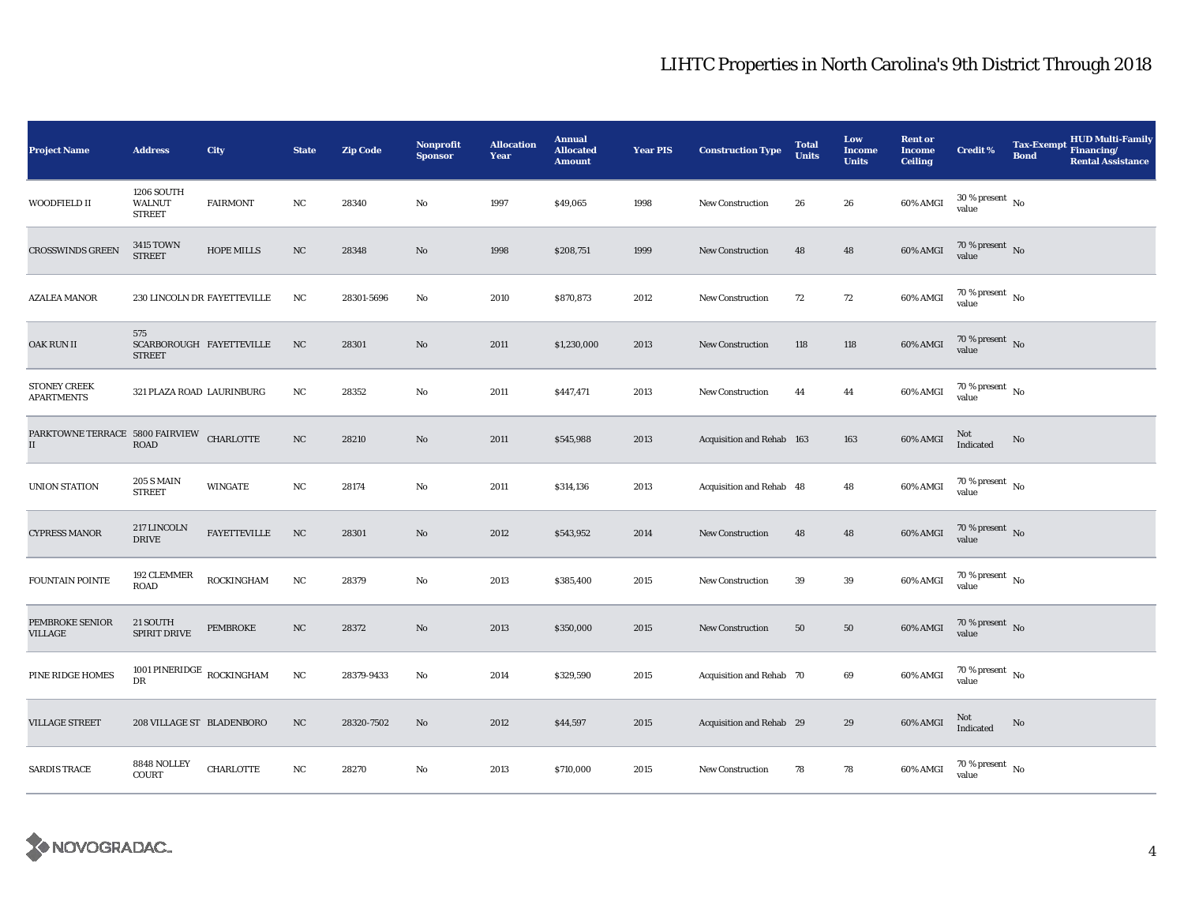| <b>Project Name</b>                                               | <b>Address</b>                                     | City                | <b>State</b>     | <b>Zip Code</b> | <b>Nonprofit</b><br><b>Sponsor</b> | <b>Allocation</b><br>Year | <b>Annual</b><br><b>Allocated</b><br><b>Amount</b> | <b>Year PIS</b> | <b>Construction Type</b>  | <b>Total</b><br><b>Units</b> | Low<br><b>Income</b><br><b>Units</b> | <b>Rent or</b><br><b>Income</b><br><b>Ceiling</b> | <b>Credit %</b>                                   | <b>HUD Multi-Family</b><br><b>Tax-Exempt</b><br>Financing/<br><b>Bond</b><br><b>Rental Assistance</b> |  |
|-------------------------------------------------------------------|----------------------------------------------------|---------------------|------------------|-----------------|------------------------------------|---------------------------|----------------------------------------------------|-----------------|---------------------------|------------------------------|--------------------------------------|---------------------------------------------------|---------------------------------------------------|-------------------------------------------------------------------------------------------------------|--|
| WOODFIELD II                                                      | 1206 SOUTH<br>WALNUT<br><b>STREET</b>              | <b>FAIRMONT</b>     | NC               | 28340           | No                                 | 1997                      | \$49,065                                           | 1998            | <b>New Construction</b>   | 26                           | 26                                   | 60% AMGI                                          | $30$ % present $\,$ No $\,$<br>value              |                                                                                                       |  |
| <b>CROSSWINDS GREEN</b>                                           | 3415 TOWN<br><b>STREET</b>                         | HOPE MILLS          | NC               | 28348           | No                                 | 1998                      | \$208,751                                          | 1999            | <b>New Construction</b>   | 48                           | 48                                   | 60% AMGI                                          | $70\,\%$ present $\,$ No $\,$<br>value            |                                                                                                       |  |
| <b>AZALEA MANOR</b>                                               | 230 LINCOLN DR FAYETTEVILLE                        |                     | NC               | 28301-5696      | No                                 | 2010                      | \$870,873                                          | 2012            | <b>New Construction</b>   | 72                           | 72                                   | 60% AMGI                                          | $70$ % present $\,$ $_{\rm No}$<br>value          |                                                                                                       |  |
| OAK RUN II                                                        | 575<br>SCARBOROUGH FAYETTEVILLE<br><b>STREET</b>   |                     | NC               | 28301           | No                                 | 2011                      | \$1,230,000                                        | 2013            | New Construction          | 118                          | 118                                  | 60% AMGI                                          | 70 % present $\,$ No $\,$<br>value                |                                                                                                       |  |
| <b>STONEY CREEK</b><br><b>APARTMENTS</b>                          | 321 PLAZA ROAD LAURINBURG                          |                     | NC               | 28352           | No                                 | 2011                      | \$447,471                                          | 2013            | <b>New Construction</b>   | 44                           | 44                                   | 60% AMGI                                          | 70 % present $\hbox{~No}$<br>value                |                                                                                                       |  |
| PARKTOWNE TERRACE 5800 FAIRVIEW CHARLOTTE<br>$\scriptstyle\rm II$ | ROAD                                               |                     | NC               | 28210           | No                                 | 2011                      | \$545,988                                          | 2013            | Acquisition and Rehab 163 |                              | 163                                  | 60% AMGI                                          | Not<br>Indicated                                  | No                                                                                                    |  |
| <b>UNION STATION</b>                                              | <b>205 S MAIN</b><br><b>STREET</b>                 | <b>WINGATE</b>      | $_{\rm NC}$      | 28174           | No                                 | 2011                      | \$314,136                                          | 2013            | Acquisition and Rehab 48  |                              | 48                                   | 60% AMGI                                          | $70$ % present $\,$ No $\,$<br>value              |                                                                                                       |  |
| <b>CYPRESS MANOR</b>                                              | 217 LINCOLN<br><b>DRIVE</b>                        | <b>FAYETTEVILLE</b> | NC               | 28301           | No                                 | 2012                      | \$543,952                                          | 2014            | <b>New Construction</b>   | 48                           | 48                                   | 60% AMGI                                          | $70\,\%$ present $\,$ No value                    |                                                                                                       |  |
| FOUNTAIN POINTE                                                   | 192 CLEMMER<br><b>ROAD</b>                         | ROCKINGHAM          | NC               | 28379           | No                                 | 2013                      | \$385,400                                          | 2015            | New Construction          | 39                           | 39                                   | 60% AMGI                                          | $70$ % present $\,$ No $\,$<br>value              |                                                                                                       |  |
| PEMBROKE SENIOR<br>VILLAGE                                        | 21 SOUTH<br>SPIRIT DRIVE                           | PEMBROKE            | $_{\mathrm{NC}}$ | 28372           | No                                 | 2013                      | \$350,000                                          | 2015            | New Construction          | 50                           | $50\,$                               | 60% AMGI                                          | $70\,\%$ present $\,$ No value                    |                                                                                                       |  |
| PINE RIDGE HOMES                                                  | 1001 PINERIDGE $_{\rm{ROCKINGHAM}}$<br>$_{\rm DR}$ |                     | NC               | 28379-9433      | No                                 | 2014                      | \$329,590                                          | 2015            | Acquisition and Rehab 70  |                              | 69                                   | 60% AMGI                                          | 70 % present $\hbox{~No}$<br>value                |                                                                                                       |  |
| <b>VILLAGE STREET</b>                                             | 208 VILLAGE ST BLADENBORO                          |                     | $_{\mathrm{NC}}$ | 28320-7502      | No                                 | 2012                      | \$44,597                                           | 2015            | Acquisition and Rehab 29  |                              | 29                                   | 60% AMGI                                          | Not<br>$\label{thm:indicated} \textbf{Indicated}$ | No                                                                                                    |  |
| <b>SARDIS TRACE</b>                                               | 8848 NOLLEY<br><b>COURT</b>                        | CHARLOTTE           | NC               | 28270           | No                                 | 2013                      | \$710,000                                          | 2015            | <b>New Construction</b>   | 78                           | 78                                   | 60% AMGI                                          | $70\,\%$ present $\,$ No value                    |                                                                                                       |  |

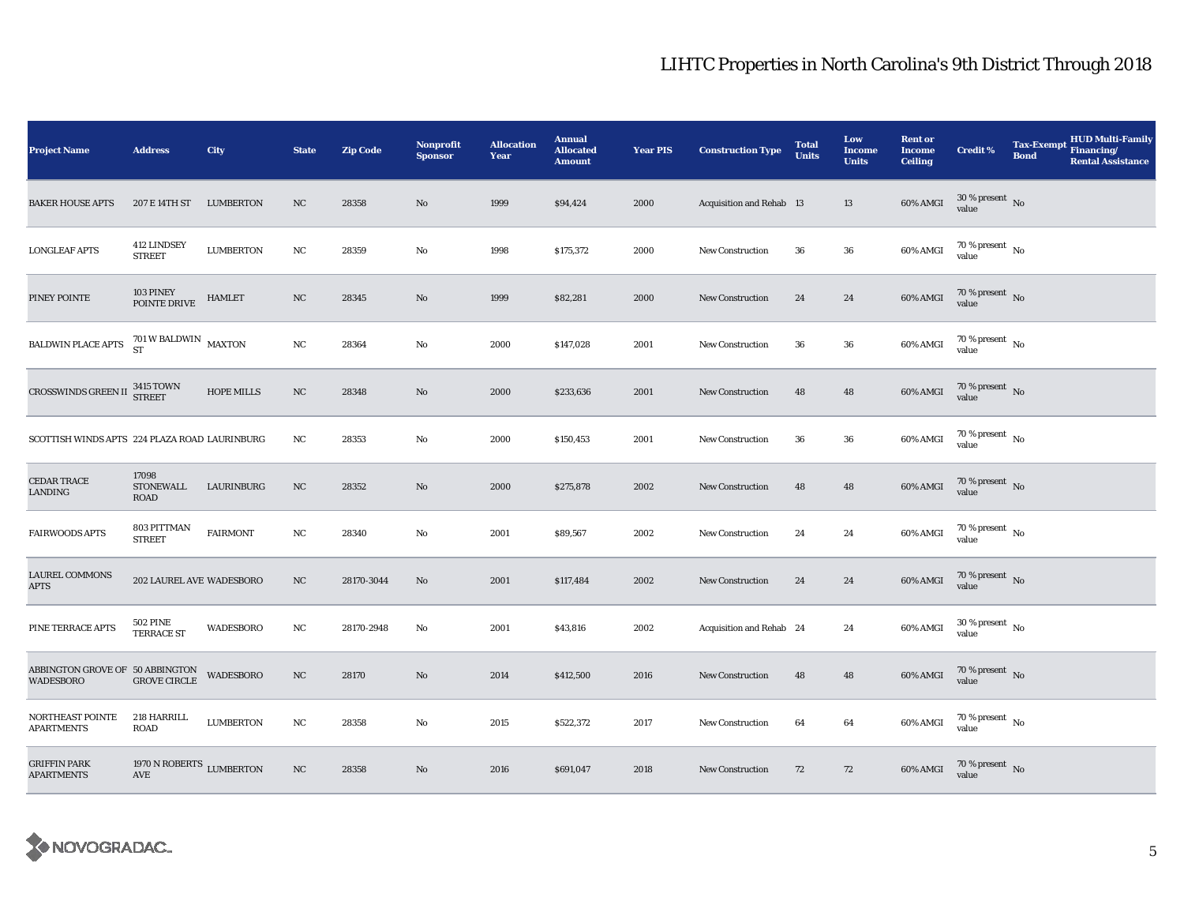| <b>Project Name</b>                                 | <b>Address</b>                                            | City              | <b>State</b> | <b>Zip Code</b> | Nonprofit<br><b>Sponsor</b> | <b>Allocation</b><br>Year | <b>Annual</b><br><b>Allocated</b><br><b>Amount</b> | <b>Year PIS</b> | <b>Construction Type</b> | <b>Total</b><br><b>Units</b> | Low<br><b>Income</b><br><b>Units</b> | <b>Rent or</b><br><b>Income</b><br><b>Ceiling</b> | <b>Credit %</b>                        | <b>Tax-Exempt</b><br><b>Bond</b> | HUD Multi-Family<br>Financing/<br><b>Rental Assistance</b> |
|-----------------------------------------------------|-----------------------------------------------------------|-------------------|--------------|-----------------|-----------------------------|---------------------------|----------------------------------------------------|-----------------|--------------------------|------------------------------|--------------------------------------|---------------------------------------------------|----------------------------------------|----------------------------------|------------------------------------------------------------|
| <b>BAKER HOUSE APTS</b>                             | 207 E 14TH ST                                             | <b>LUMBERTON</b>  | NC           | 28358           | No                          | 1999                      | \$94,424                                           | 2000            | Acquisition and Rehab 13 |                              | 13                                   | 60% AMGI                                          | $30$ % present $\,$ No $\,$<br>value   |                                  |                                                            |
| <b>LONGLEAF APTS</b>                                | 412 LINDSEY<br><b>STREET</b>                              | <b>LUMBERTON</b>  | NC           | 28359           | No                          | 1998                      | \$175,372                                          | 2000            | <b>New Construction</b>  | 36                           | 36                                   | 60% AMGI                                          | $70$ % present $\,$ No $\,$<br>value   |                                  |                                                            |
| PINEY POINTE                                        | 103 PINEY<br>POINTE DRIVE                                 | <b>HAMLET</b>     | $_{\rm NC}$  | 28345           | $\mathbf{N}\mathbf{o}$      | 1999                      | \$82,281                                           | 2000            | <b>New Construction</b>  | 24                           | 24                                   | 60% AMGI                                          | $70\,\%$ present $\,$ No value         |                                  |                                                            |
| BALDWIN PLACE APTS                                  | $701\,\mathrm{W}$ BALDWIN $$\rm{MAXTON}$$ ST              |                   | NC           | 28364           | No                          | 2000                      | \$147,028                                          | 2001            | New Construction         | 36                           | 36                                   | 60% AMGI                                          | $70\,\%$ present $\,$ No $\,$<br>value |                                  |                                                            |
| CROSSWINDS GREEN II                                 | 3415 TOWN<br>STREET                                       | <b>HOPE MILLS</b> | NC           | 28348           | $\mathbf{N}\mathbf{o}$      | 2000                      | \$233,636                                          | 2001            | New Construction         | 48                           | 48                                   | 60% AMGI                                          | $70\,\%$ present $\,$ No value         |                                  |                                                            |
| SCOTTISH WINDS APTS 224 PLAZA ROAD LAURINBURG       |                                                           |                   | $_{\rm NC}$  | 28353           | No                          | 2000                      | \$150,453                                          | 2001            | <b>New Construction</b>  | 36                           | 36                                   | 60% AMGI                                          | $70$ % present $\,$ No $\,$<br>value   |                                  |                                                            |
| <b>CEDAR TRACE</b><br>LANDING                       | 17098<br><b>STONEWALL</b><br>ROAD                         | LAURINBURG        | $_{\rm NC}$  | 28352           | $\mathbf{N}\mathbf{o}$      | 2000                      | \$275,878                                          | 2002            | New Construction         | 48                           | 48                                   | 60% AMGI                                          | $70\,\%$ present $\,$ No value         |                                  |                                                            |
| <b>FAIRWOODS APTS</b>                               | 803 PITTMAN<br><b>STREET</b>                              | <b>FAIRMONT</b>   | NC           | 28340           | No                          | 2001                      | \$89,567                                           | 2002            | <b>New Construction</b>  | 24                           | 24                                   | 60% AMGI                                          | $70$ % present $\,$ No $\,$<br>value   |                                  |                                                            |
| <b>LAUREL COMMONS</b><br><b>APTS</b>                | 202 LAUREL AVE WADESBORO                                  |                   | NC           | 28170-3044      | No                          | 2001                      | \$117,484                                          | 2002            | New Construction         | 24                           | 24                                   | 60% AMGI                                          | 70 % present $\overline{N_0}$<br>value |                                  |                                                            |
| PINE TERRACE APTS                                   | <b>502 PINE</b><br><b>TERRACE ST</b>                      | <b>WADESBORO</b>  | NC           | 28170-2948      | No                          | 2001                      | \$43,816                                           | 2002            | Acquisition and Rehab 24 |                              | 24                                   | 60% AMGI                                          | $30\,\%$ present $\,$ No $\,$<br>value |                                  |                                                            |
| ABBINGTON GROVE OF 50 ABBINGTON<br><b>WADESBORO</b> | <b>GROVE CIRCLE</b>                                       | <b>WADESBORO</b>  | NC           | 28170           | No                          | 2014                      | \$412,500                                          | 2016            | New Construction         | 48                           | 48                                   | 60% AMGI                                          | $70\%$ present No<br>value             |                                  |                                                            |
| NORTHEAST POINTE<br><b>APARTMENTS</b>               | 218 HARRILL<br>ROAD                                       | <b>LUMBERTON</b>  | $_{\rm NC}$  | 28358           | No                          | 2015                      | \$522,372                                          | 2017            | New Construction         | 64                           | 64                                   | 60% AMGI                                          | 70 % present $\hbox{~No}$<br>value     |                                  |                                                            |
| <b>GRIFFIN PARK</b><br><b>APARTMENTS</b>            | 1970 N ROBERTS $_{\rm LUMBERTON}$<br>$\operatorname{AVE}$ |                   | $_{\rm NC}$  | 28358           | No                          | 2016                      | \$691,047                                          | 2018            | <b>New Construction</b>  | 72                           | 72                                   | 60% AMGI                                          | $70$ % present $$\rm{No}$$ value       |                                  |                                                            |

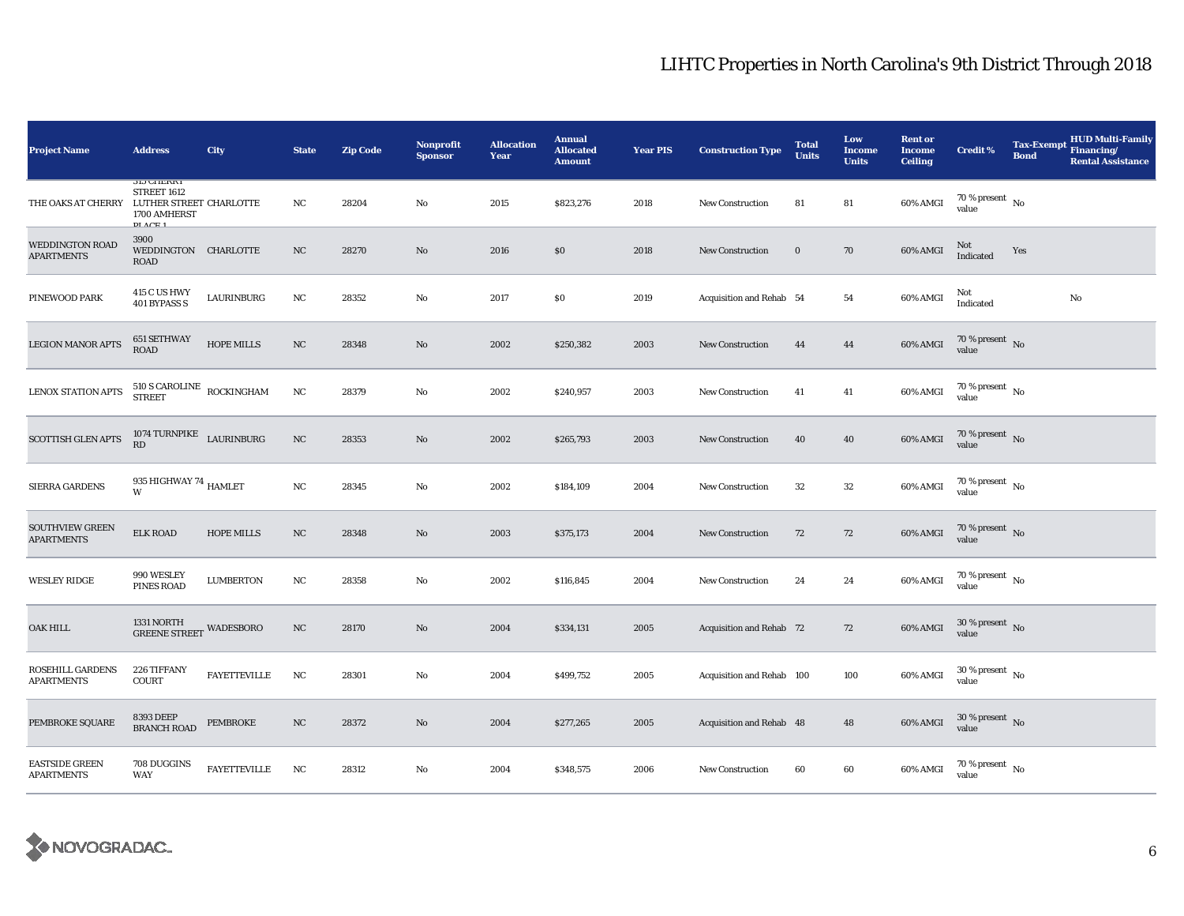| <b>Project Name</b>                         | <b>Address</b>                                                                                         | <b>City</b>         | <b>State</b> | <b>Zip Code</b> | Nonprofit<br><b>Sponsor</b> | <b>Allocation</b><br>Year | <b>Annual</b><br><b>Allocated</b><br><b>Amount</b> | <b>Year PIS</b> | <b>Construction Type</b>        | <b>Total</b><br><b>Units</b> | Low<br><b>Income</b><br><b>Units</b> | <b>Rent or</b><br><b>Income</b><br><b>Ceiling</b> | <b>Credit %</b>                      | <b>Tax-Exempt</b><br><b>Bond</b> | <b>HUD Multi-Family</b><br>Financing/<br><b>Rental Assistance</b> |
|---------------------------------------------|--------------------------------------------------------------------------------------------------------|---------------------|--------------|-----------------|-----------------------------|---------------------------|----------------------------------------------------|-----------------|---------------------------------|------------------------------|--------------------------------------|---------------------------------------------------|--------------------------------------|----------------------------------|-------------------------------------------------------------------|
| THE OAKS AT CHERRY                          | <b>313 UHERRY</b><br>STREET 1612<br>LUTHER STREET CHARLOTTE<br>1700 AMHERST<br>$DI$ $\Lambda$ $CH$ $1$ |                     | NC           | 28204           | No                          | 2015                      | \$823,276                                          | 2018            | <b>New Construction</b>         | 81                           | 81                                   | 60% AMGI                                          | 70 % present $\hbox{~No}$<br>value   |                                  |                                                                   |
| <b>WEDDINGTON ROAD</b><br><b>APARTMENTS</b> | 3900<br>WEDDINGTON CHARLOTTE<br><b>ROAD</b>                                                            |                     | NC           | 28270           | No                          | 2016                      | \$0                                                | 2018            | <b>New Construction</b>         | $\mathbf 0$                  | 70                                   | 60% AMGI                                          | Not<br>Indicated                     | Yes                              |                                                                   |
| PINEWOOD PARK                               | <b>415 C US HWY</b><br>401 BYPASS S                                                                    | LAURINBURG          | NC           | 28352           | No                          | 2017                      | $\$0$                                              | 2019            | Acquisition and Rehab 54        |                              | 54                                   | 60% AMGI                                          | Not<br>Indicated                     |                                  | No                                                                |
| <b>LEGION MANOR APTS</b>                    | 651 SETHWAY<br><b>ROAD</b>                                                                             | <b>HOPE MILLS</b>   | NC           | 28348           | No                          | 2002                      | \$250,382                                          | 2003            | <b>New Construction</b>         | 44                           | 44                                   | 60% AMGI                                          | 70 % present $\hbox{~No}$<br>value   |                                  |                                                                   |
| LENOX STATION APTS                          | $510$ S CAROLINE $\,$ ROCKINGHAM STREET                                                                |                     | NC           | 28379           | No                          | 2002                      | \$240,957                                          | 2003            | New Construction                | 41                           | 41                                   | 60% AMGI                                          | 70 % present $\hbox{~No}$<br>value   |                                  |                                                                   |
| <b>SCOTTISH GLEN APTS</b>                   | $1074$ TURNPIKE $$\tt LAURINBURG$$<br>RD                                                               |                     | $_{\rm NC}$  | 28353           | $\mathbf{N}\mathbf{o}$      | 2002                      | \$265,793                                          | 2003            | New Construction                | 40                           | $40\,$                               | 60% AMGI                                          | $70\,\%$ present $\,$ No value       |                                  |                                                                   |
| SIERRA GARDENS                              | 935 HIGHWAY 74 $_{\rm HAMLET}$<br>W                                                                    |                     | $_{\rm NC}$  | 28345           | No                          | 2002                      | \$184,109                                          | 2004            | <b>New Construction</b>         | $32\,$                       | $32\,$                               | 60% AMGI                                          | $70\,\%$ present $\,$ No value       |                                  |                                                                   |
| <b>SOUTHVIEW GREEN</b><br><b>APARTMENTS</b> | <b>ELK ROAD</b>                                                                                        | <b>HOPE MILLS</b>   | $_{\rm NC}$  | 28348           | $\mathbf{N}\mathbf{o}$      | 2003                      | \$375,173                                          | 2004            | <b>New Construction</b>         | 72                           | 72                                   | 60% AMGI                                          | 70 % present $\,$ No $\,$<br>value   |                                  |                                                                   |
| <b>WESLEY RIDGE</b>                         | 990 WESLEY<br><b>PINES ROAD</b>                                                                        | <b>LUMBERTON</b>    | NC           | 28358           | No                          | 2002                      | \$116,845                                          | 2004            | New Construction                | 24                           | 24                                   | 60% AMGI                                          | $70$ % present $\,$ No $\,$<br>value |                                  |                                                                   |
| <b>OAK HILL</b>                             | 1331 NORTH<br><b>GREENE STREET WADESBORO</b>                                                           |                     | NC           | 28170           | No                          | 2004                      | \$334,131                                          | 2005            | <b>Acquisition and Rehab 72</b> |                              | 72                                   | 60% AMGI                                          | $30$ % present $\,$ No $\,$<br>value |                                  |                                                                   |
| ROSEHILL GARDENS<br><b>APARTMENTS</b>       | 226 TIFFANY<br>COURT                                                                                   | <b>FAYETTEVILLE</b> | <b>NC</b>    | 28301           | No                          | 2004                      | \$499,752                                          | 2005            | Acquisition and Rehab 100       |                              | 100                                  | 60% AMGI                                          | $30$ % present $\,$ No $\,$<br>value |                                  |                                                                   |
| PEMBROKE SQUARE                             | <b>8393 DEEP</b><br><b>BRANCH ROAD</b>                                                                 | PEMBROKE            | $_{\rm NC}$  | 28372           | No                          | 2004                      | \$277,265                                          | 2005            | Acquisition and Rehab 48        |                              | 48                                   | 60% AMGI                                          | $30\,\%$ present $\,$ No value       |                                  |                                                                   |
| <b>EASTSIDE GREEN</b><br><b>APARTMENTS</b>  | 708 DUGGINS<br><b>WAY</b>                                                                              | FAYETTEVILLE        | NC           | 28312           | No                          | 2004                      | \$348,575                                          | 2006            | <b>New Construction</b>         | 60                           | 60                                   | 60% AMGI                                          | $70$ % present $\,$ No value         |                                  |                                                                   |

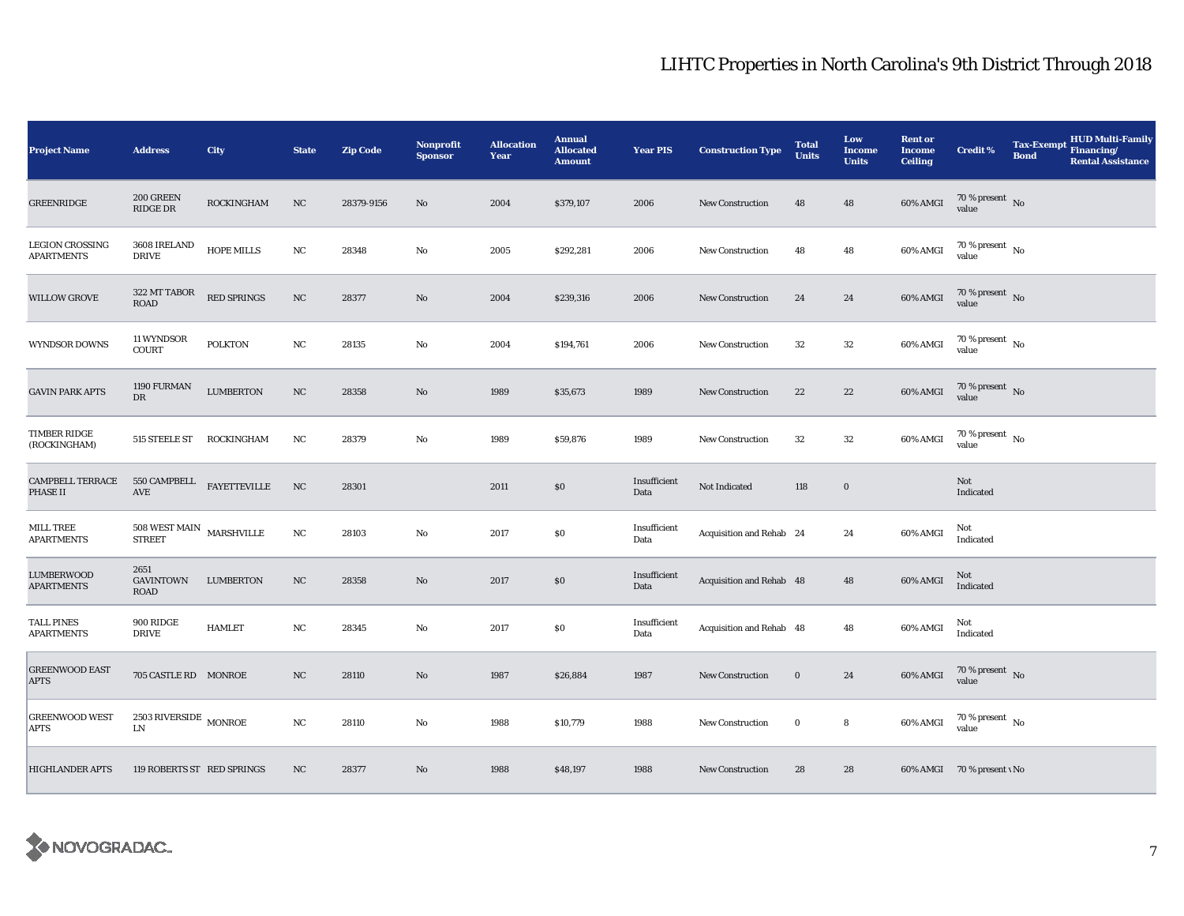| <b>Project Name</b>                         | <b>Address</b>                                         | City                                      | <b>State</b> | <b>Zip Code</b> | <b>Nonprofit</b><br><b>Sponsor</b> | <b>Allocation</b><br>Year | <b>Annual</b><br><b>Allocated</b><br><b>Amount</b> | <b>Year PIS</b>      | <b>Construction Type</b> | <b>Total</b><br><b>Units</b> | Low<br>Income<br><b>Units</b> | <b>Rent or</b><br><b>Income</b><br><b>Ceiling</b> | Credit %                               | <b>Tax-Exempt</b><br><b>Bond</b> | <b>HUD Multi-Family</b><br>Financing/<br><b>Rental Assistance</b> |
|---------------------------------------------|--------------------------------------------------------|-------------------------------------------|--------------|-----------------|------------------------------------|---------------------------|----------------------------------------------------|----------------------|--------------------------|------------------------------|-------------------------------|---------------------------------------------------|----------------------------------------|----------------------------------|-------------------------------------------------------------------|
| <b>GREENRIDGE</b>                           | 200 GREEN<br>RIDGE DR                                  | <b>ROCKINGHAM</b>                         | NC           | 28379-9156      | No                                 | 2004                      | \$379,107                                          | 2006                 | <b>New Construction</b>  | 48                           | 48                            | 60% AMGI                                          | $70\,\%$ present $\,$ No value         |                                  |                                                                   |
| <b>LEGION CROSSING</b><br><b>APARTMENTS</b> | 3608 IRELAND<br><b>DRIVE</b>                           | $\operatorname{HOPE}\operatorname{MILLS}$ | NC           | 28348           | No                                 | 2005                      | \$292,281                                          | 2006                 | <b>New Construction</b>  | 48                           | 48                            | 60% AMGI                                          | $70$ % present $_{\, \rm No}$<br>value |                                  |                                                                   |
| <b>WILLOW GROVE</b>                         | 322 MT TABOR<br><b>ROAD</b>                            | RED SPRINGS                               | NC           | 28377           | No                                 | 2004                      | \$239,316                                          | 2006                 | New Construction         | 24                           | 24                            | 60% AMGI                                          | $70\,\%$ present $\,$ No value         |                                  |                                                                   |
| WYNDSOR DOWNS                               | 11 WYNDSOR<br><b>COURT</b>                             | <b>POLKTON</b>                            | NC           | 28135           | No                                 | 2004                      | \$194,761                                          | 2006                 | <b>New Construction</b>  | 32                           | $32\,$                        | 60% AMGI                                          | 70 % present $\hbox{~No}$<br>value     |                                  |                                                                   |
| <b>GAVIN PARK APTS</b>                      | 1190 FURMAN<br>$_{\rm DR}$                             | <b>LUMBERTON</b>                          | NC           | 28358           | No                                 | 1989                      | \$35,673                                           | 1989                 | <b>New Construction</b>  | 22                           | 22                            | 60% AMGI                                          | $70\,\%$ present $\,$ No value         |                                  |                                                                   |
| TIMBER RIDGE<br>(ROCKINGHAM)                | 515 STEELE ST ROCKINGHAM                               |                                           | NC           | 28379           | $\rm No$                           | 1989                      | \$59,876                                           | 1989                 | <b>New Construction</b>  | 32                           | 32                            | 60% AMGI                                          | $70\,\%$ present $\,$ No value         |                                  |                                                                   |
| <b>CAMPBELL TERRACE</b><br>PHASE II         | 550 CAMPBELL FAYETTEVILLE<br>$\operatorname{AVE}$      |                                           | NC           | 28301           |                                    | 2011                      | $\$0$                                              | Insufficient<br>Data | Not Indicated            | 118                          | $\mathbf 0$                   |                                                   | Not<br>Indicated                       |                                  |                                                                   |
| MILL TREE<br><b>APARTMENTS</b>              | $508$ WEST MAIN $\,$ MARSHVILLE<br><b>STREET</b>       |                                           | $_{\rm NC}$  | 28103           | No                                 | 2017                      | $\$0$                                              | Insufficient<br>Data | Acquisition and Rehab 24 |                              | 24                            | 60% AMGI                                          | Not<br>Indicated                       |                                  |                                                                   |
| LUMBERWOOD<br><b>APARTMENTS</b>             | 2651<br><b>GAVINTOWN</b><br>ROAD                       | <b>LUMBERTON</b>                          | NC           | 28358           | No                                 | 2017                      | \$0                                                | Insufficient<br>Data | Acquisition and Rehab 48 |                              | 48                            | 60% AMGI                                          | Not<br>Indicated                       |                                  |                                                                   |
| TALL PINES<br><b>APARTMENTS</b>             | 900 RIDGE<br><b>DRIVE</b>                              | <b>HAMLET</b>                             | $_{\rm NC}$  | 28345           | No                                 | 2017                      | $\$0$                                              | Insufficient<br>Data | Acquisition and Rehab 48 |                              | 48                            | 60% AMGI                                          | Not<br>Indicated                       |                                  |                                                                   |
| <b>GREENWOOD EAST</b><br><b>APTS</b>        | 705 CASTLE RD MONROE                                   |                                           | NC           | 28110           | No                                 | 1987                      | \$26,884                                           | 1987                 | <b>New Construction</b>  | $\bf{0}$                     | 24                            | 60% AMGI                                          | $70\,\%$ present $\,$ No value         |                                  |                                                                   |
| <b>GREENWOOD WEST</b><br>APTS               | $2503\:\mathrm{RIVERSIDE}\xspace$ MONROE<br>${\rm LN}$ |                                           | NC           | 28110           | No                                 | 1988                      | \$10,779                                           | 1988                 | <b>New Construction</b>  | $\bf{0}$                     | $\bf8$                        | 60% AMGI                                          | $70\,\%$ present $\,$ No value         |                                  |                                                                   |
| <b>HIGHLANDER APTS</b>                      | 119 ROBERTS ST RED SPRINGS                             |                                           | NC           | 28377           | No                                 | 1988                      | \$48,197                                           | 1988                 | <b>New Construction</b>  | 28                           | 28                            |                                                   | 60% AMGI 70 % present v No             |                                  |                                                                   |